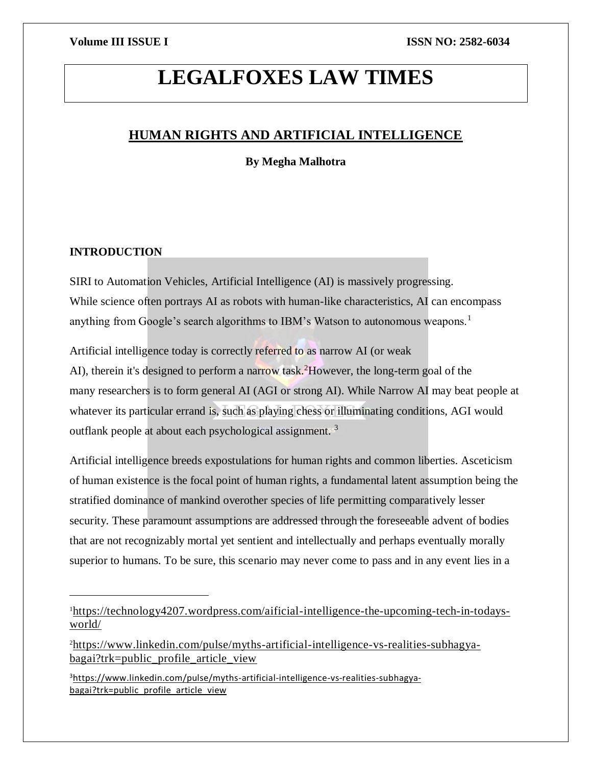# **LEGALFOXES LAW TIMES**

# **HUMAN RIGHTS AND ARTIFICIAL INTELLIGENCE**

**By Megha Malhotra**

# **INTRODUCTION**

 $\overline{\phantom{a}}$ 

SIRI to Automation Vehicles, Artificial Intelligence (AI) is massively progressing. While science often portrays AI as robots with human-like characteristics, AI can encompass anything from Google's search algorithms to IBM's Watson to autonomous weapons.<sup>1</sup>

Artificial intelligence today is correctly referred to as narrow AI (or weak AI), therein it's designed to perform a narrow task.<sup>2</sup>However, the long-term goal of the many researchers is to form general AI (AGI or strong AI). While Narrow AI may beat people at whatever its particular errand is, such as playing chess or illuminating conditions, AGI would

outflank people at about each psychological assignment. <sup>3</sup>

Artificial intelligence breeds expostulations for human rights and common liberties. Asceticism of human existence is the focal point of human rights, a fundamental latent assumption being the stratified dominance of mankind overother species of life permitting comparatively lesser security. These paramount assumptions are addressed through the foreseeable advent of bodies that are not recognizably mortal yet sentient and intellectually and perhaps eventually morally superior to humans. To be sure, this scenario may never come to pass and in any event lies in a

<sup>1</sup>[https://technology4207.wordpress.com/aificial-intelligence-the-upcoming-tech-in-todays](https://technology4207.wordpress.com/aificial-intelligence-the-upcoming-tech-in-todays-world/)[world/](https://technology4207.wordpress.com/aificial-intelligence-the-upcoming-tech-in-todays-world/)

<sup>2</sup>[https://www.linkedin.com/pulse/myths-artificial-intelligence-vs-realities-subhagya](https://www.linkedin.com/pulse/myths-artificial-intelligence-vs-realities-subhagya-bagai?trk=public_profile_article_view)[bagai?trk=public\\_profile\\_article\\_view](https://www.linkedin.com/pulse/myths-artificial-intelligence-vs-realities-subhagya-bagai?trk=public_profile_article_view)

<sup>3</sup>[https://www.linkedin.com/pulse/myths-artificial-intelligence-vs-realities-subhagya](https://www.linkedin.com/pulse/myths-artificial-intelligence-vs-realities-subhagya-bagai?trk=public_profile_article_view)[bagai?trk=public\\_profile\\_article\\_view](https://www.linkedin.com/pulse/myths-artificial-intelligence-vs-realities-subhagya-bagai?trk=public_profile_article_view)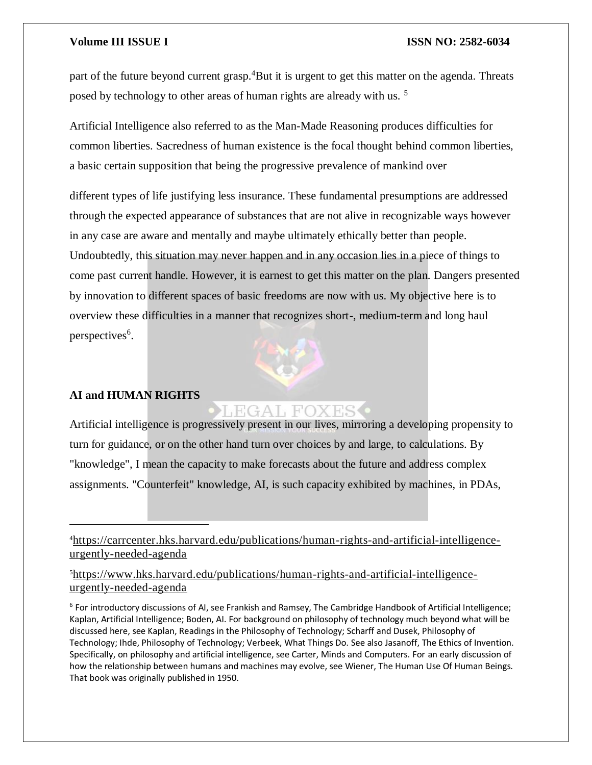part of the future beyond current grasp.<sup>4</sup>But it is urgent to get this matter on the agenda. Threats posed by technology to other areas of human rights are already with us. <sup>5</sup>

Artificial Intelligence also referred to as the Man-Made Reasoning produces difficulties for common liberties. Sacredness of human existence is the focal thought behind common liberties, a basic certain supposition that being the progressive prevalence of mankind over

different types of life justifying less insurance. These fundamental presumptions are addressed through the expected appearance of substances that are not alive in recognizable ways however in any case are aware and mentally and maybe ultimately ethically better than people. Undoubtedly, this situation may never happen and in any occasion lies in a piece of things to come past current handle. However, it is earnest to get this matter on the plan. Dangers presented by innovation to different spaces of basic freedoms are now with us. My objective here is to overview these difficulties in a manner that recognizes short-, medium-term and long haul perspectives<sup>6</sup>.

## **AI and HUMAN RIGHTS**

 $\overline{a}$ 

EGAL FOX

Artificial intelligence is progressively present in our lives, mirroring a developing propensity to turn for guidance, or on the other hand turn over choices by and large, to calculations. By "knowledge", I mean the capacity to make forecasts about the future and address complex assignments. "Counterfeit" knowledge, AI, is such capacity exhibited by machines, in PDAs,

4[https://carrcenter.hks.harvard.edu/publications/human-rights-and-artificial-intelligence](https://carrcenter.hks.harvard.edu/publications/human-rights-and-artificial-intelligence-urgently-needed-agenda)[urgently-needed-agenda](https://carrcenter.hks.harvard.edu/publications/human-rights-and-artificial-intelligence-urgently-needed-agenda)

5[https://www.hks.harvard.edu/publications/human-rights-and-artificial-intelligence](https://www.hks.harvard.edu/publications/human-rights-and-artificial-intelligence-urgently-needed-agenda)[urgently-needed-agenda](https://www.hks.harvard.edu/publications/human-rights-and-artificial-intelligence-urgently-needed-agenda)

6 For introductory discussions of AI, see Frankish and Ramsey, The Cambridge Handbook of Artificial Intelligence; Kaplan, Artificial Intelligence; Boden, AI. For background on philosophy of technology much beyond what will be discussed here, see Kaplan, Readings in the Philosophy of Technology; Scharff and Dusek, Philosophy of Technology; Ihde, Philosophy of Technology; Verbeek, What Things Do. See also Jasanoff, The Ethics of Invention. Specifically, on philosophy and artificial intelligence, see Carter, Minds and Computers. For an early discussion of how the relationship between humans and machines may evolve, see Wiener, The Human Use Of Human Beings. That book was originally published in 1950.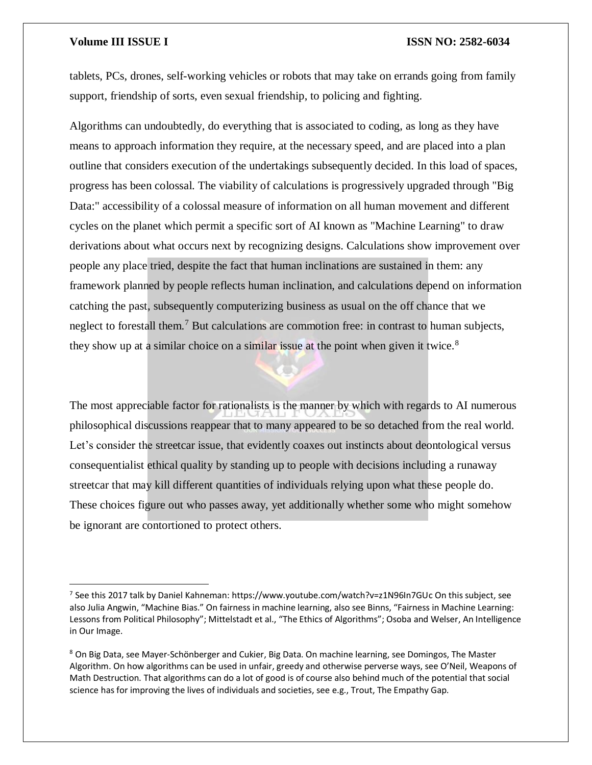$\overline{a}$ 

### **Volume III ISSUE I ISSN NO: 2582-6034**

tablets, PCs, drones, self-working vehicles or robots that may take on errands going from family support, friendship of sorts, even sexual friendship, to policing and fighting.

Algorithms can undoubtedly, do everything that is associated to coding, as long as they have means to approach information they require, at the necessary speed, and are placed into a plan outline that considers execution of the undertakings subsequently decided. In this load of spaces, progress has been colossal. The viability of calculations is progressively upgraded through "Big Data:" accessibility of a colossal measure of information on all human movement and different cycles on the planet which permit a specific sort of AI known as "Machine Learning" to draw derivations about what occurs next by recognizing designs. Calculations show improvement over people any place tried, despite the fact that human inclinations are sustained in them: any framework planned by people reflects human inclination, and calculations depend on information catching the past, subsequently computerizing business as usual on the off chance that we neglect to forestall them.<sup>7</sup> But calculations are commotion free: in contrast to human subjects, they show up at a similar choice on a similar issue at the point when given it twice.<sup>8</sup>

The most appreciable factor for rationalists is the manner by which with regards to AI numerous philosophical discussions reappear that to many appeared to be so detached from the real world. Let's consider the streetcar issue, that evidently coaxes out instincts about deontological versus consequentialist ethical quality by standing up to people with decisions including a runaway streetcar that may kill different quantities of individuals relying upon what these people do. These choices figure out who passes away, yet additionally whether some who might somehow be ignorant are contortioned to protect others.

<sup>&</sup>lt;sup>7</sup> See this 2017 talk by Daniel Kahneman: https://www.youtube.com/watch?v=z1N96In7GUc On this subject, see also Julia Angwin, "Machine Bias." On fairness in machine learning, also see Binns, "Fairness in Machine Learning: Lessons from Political Philosophy"; Mittelstadt et al., "The Ethics of Algorithms"; Osoba and Welser, An Intelligence in Our Image.

<sup>&</sup>lt;sup>8</sup> On Big Data, see Mayer-Schönberger and Cukier, Big Data. On machine learning, see Domingos, The Master Algorithm. On how algorithms can be used in unfair, greedy and otherwise perverse ways, see O'Neil, Weapons of Math Destruction. That algorithms can do a lot of good is of course also behind much of the potential that social science has for improving the lives of individuals and societies, see e.g., Trout, The Empathy Gap.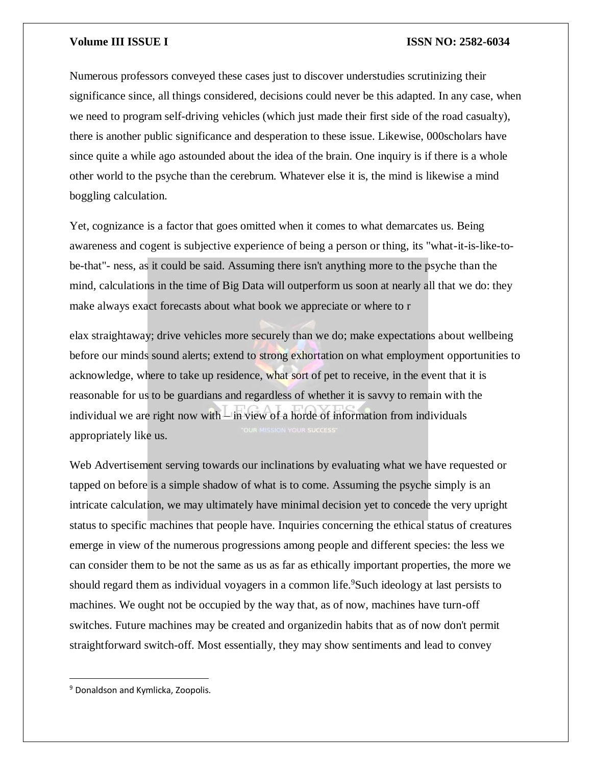Numerous professors conveyed these cases just to discover understudies scrutinizing their significance since, all things considered, decisions could never be this adapted. In any case, when we need to program self-driving vehicles (which just made their first side of the road casualty), there is another public significance and desperation to these issue. Likewise, 000scholars have since quite a while ago astounded about the idea of the brain. One inquiry is if there is a whole other world to the psyche than the cerebrum. Whatever else it is, the mind is likewise a mind boggling calculation.

Yet, cognizance is a factor that goes omitted when it comes to what demarcates us. Being awareness and cogent is subjective experience of being a person or thing, its "what-it-is-like-tobe-that"- ness, as it could be said. Assuming there isn't anything more to the psyche than the mind, calculations in the time of Big Data will outperform us soon at nearly all that we do: they make always exact forecasts about what book we appreciate or where to r

elax straightaway; drive vehicles more securely than we do; make expectations about wellbeing before our minds sound alerts; extend to strong exhortation on what employment opportunities to acknowledge, where to take up residence, what sort of pet to receive, in the event that it is reasonable for us to be guardians and regardless of whether it is savvy to remain with the individual we are right now with – in view of a horde of information from individuals appropriately like us.

Web Advertisement serving towards our inclinations by evaluating what we have requested or tapped on before is a simple shadow of what is to come. Assuming the psyche simply is an intricate calculation, we may ultimately have minimal decision yet to concede the very upright status to specific machines that people have. Inquiries concerning the ethical status of creatures emerge in view of the numerous progressions among people and different species: the less we can consider them to be not the same as us as far as ethically important properties, the more we should regard them as individual voyagers in a common life.<sup>9</sup>Such ideology at last persists to machines. We ought not be occupied by the way that, as of now, machines have turn-off switches. Future machines may be created and organizedin habits that as of now don't permit straightforward switch-off. Most essentially, they may show sentiments and lead to convey

<sup>&</sup>lt;sup>9</sup> Donaldson and Kymlicka, Zoopolis.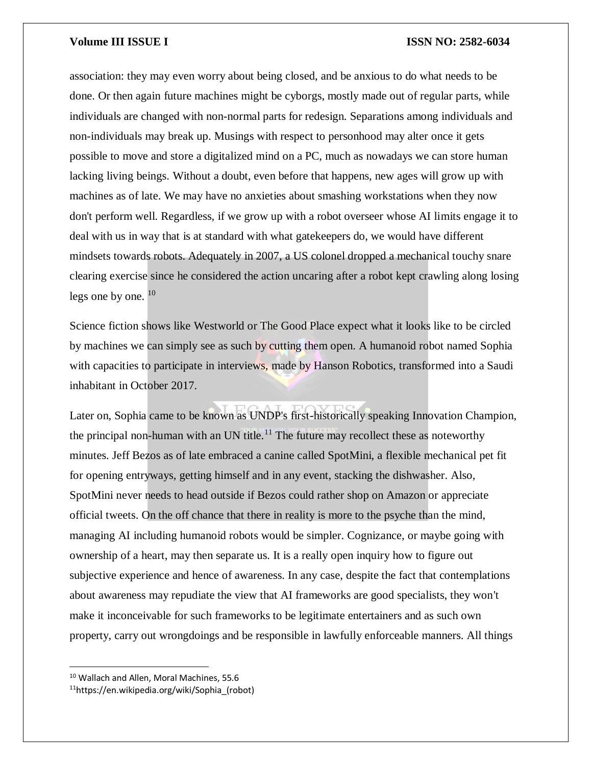association: they may even worry about being closed, and be anxious to do what needs to be done. Or then again future machines might be cyborgs, mostly made out of regular parts, while individuals are changed with non-normal parts for redesign. Separations among individuals and non-individuals may break up. Musings with respect to personhood may alter once it gets possible to move and store a digitalized mind on a PC, much as nowadays we can store human lacking living beings. Without a doubt, even before that happens, new ages will grow up with machines as of late. We may have no anxieties about smashing workstations when they now don't perform well. Regardless, if we grow up with a robot overseer whose AI limits engage it to deal with us in way that is at standard with what gatekeepers do, we would have different mindsets towards robots. Adequately in 2007, a US colonel dropped a mechanical touchy snare clearing exercise since he considered the action uncaring after a robot kept crawling along losing legs one by one.  $10$ 

Science fiction shows like Westworld or The Good Place expect what it looks like to be circled by machines we can simply see as such by cutting them open. A humanoid robot named Sophia with capacities to participate in interviews, made by Hanson Robotics, transformed into a Saudi inhabitant in October 2017.

Later on, Sophia came to be known as UNDP's first-historically speaking Innovation Champion, the principal non-human with an UN title.<sup>11</sup> The future may recollect these as noteworthy minutes. Jeff Bezos as of late embraced a canine called SpotMini, a flexible mechanical pet fit for opening entryways, getting himself and in any event, stacking the dishwasher. Also, SpotMini never needs to head outside if Bezos could rather shop on Amazon or appreciate official tweets. On the off chance that there in reality is more to the psyche than the mind, managing AI including humanoid robots would be simpler. Cognizance, or maybe going with ownership of a heart, may then separate us. It is a really open inquiry how to figure out subjective experience and hence of awareness. In any case, despite the fact that contemplations about awareness may repudiate the view that AI frameworks are good specialists, they won't make it inconceivable for such frameworks to be legitimate entertainers and as such own property, carry out wrongdoings and be responsible in lawfully enforceable manners. All things

 $\overline{\phantom{a}}$ 

<sup>&</sup>lt;sup>10</sup> Wallach and Allen, Moral Machines, 55.6

<sup>11</sup>https://en.wikipedia.org/wiki/Sophia\_(robot)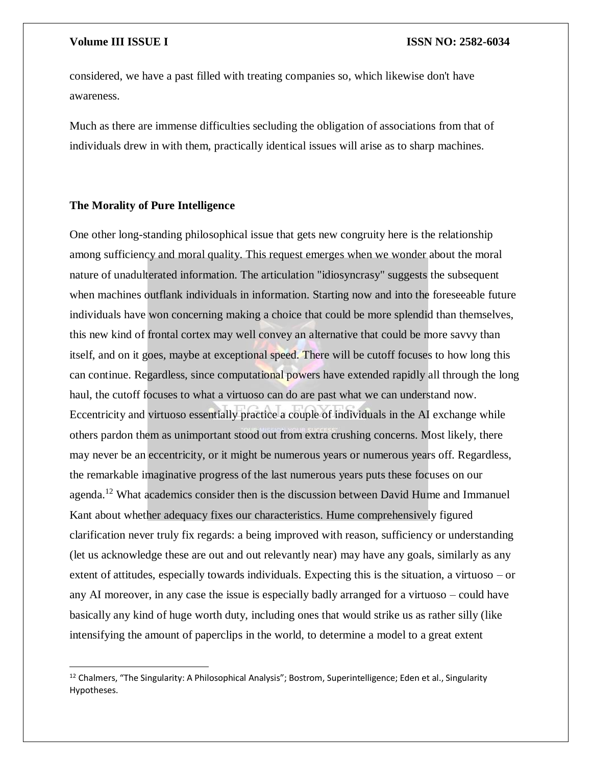$\overline{\phantom{a}}$ 

considered, we have a past filled with treating companies so, which likewise don't have awareness.

Much as there are immense difficulties secluding the obligation of associations from that of individuals drew in with them, practically identical issues will arise as to sharp machines.

### **The Morality of Pure Intelligence**

One other long-standing philosophical issue that gets new congruity here is the relationship among sufficiency and moral quality. This request emerges when we wonder about the moral nature of unadulterated information. The articulation "idiosyncrasy" suggests the subsequent when machines outflank individuals in information. Starting now and into the foreseeable future individuals have won concerning making a choice that could be more splendid than themselves, this new kind of frontal cortex may well convey an alternative that could be more savvy than itself, and on it goes, maybe at exceptional speed. There will be cutoff focuses to how long this can continue. Regardless, since computational powers have extended rapidly all through the long haul, the cutoff focuses to what a virtuoso can do are past what we can understand now. Eccentricity and virtuoso essentially practice a couple of individuals in the AI exchange while others pardon them as unimportant stood out from extra crushing concerns. Most likely, there may never be an eccentricity, or it might be numerous years or numerous years off. Regardless, the remarkable imaginative progress of the last numerous years puts these focuses on our agenda.<sup>12</sup> What academics consider then is the discussion between David Hume and Immanuel Kant about whether adequacy fixes our characteristics. Hume comprehensively figured clarification never truly fix regards: a being improved with reason, sufficiency or understanding (let us acknowledge these are out and out relevantly near) may have any goals, similarly as any extent of attitudes, especially towards individuals. Expecting this is the situation, a virtuoso – or any AI moreover, in any case the issue is especially badly arranged for a virtuoso – could have basically any kind of huge worth duty, including ones that would strike us as rather silly (like intensifying the amount of paperclips in the world, to determine a model to a great extent

<sup>&</sup>lt;sup>12</sup> Chalmers, "The Singularity: A Philosophical Analysis"; Bostrom, Superintelligence; Eden et al., Singularity Hypotheses.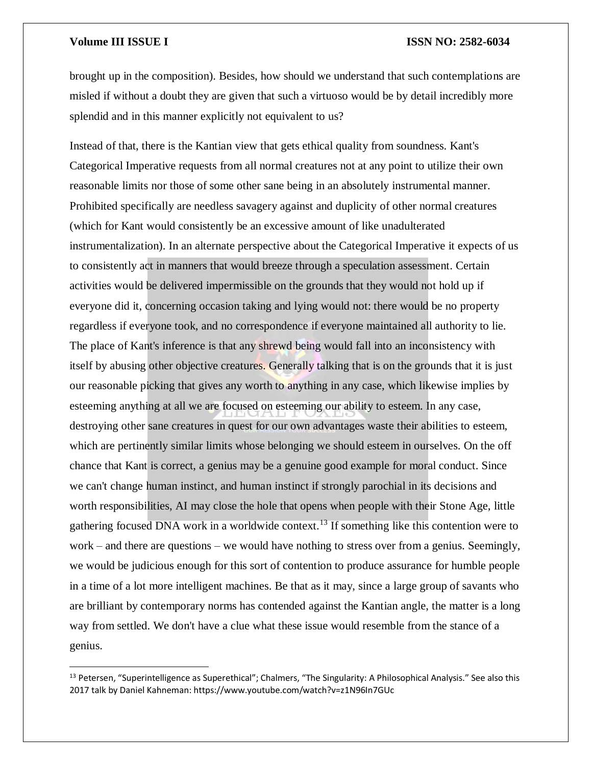$\overline{\phantom{a}}$ 

### **Volume III ISSUE I ISSN NO: 2582-6034**

brought up in the composition). Besides, how should we understand that such contemplations are misled if without a doubt they are given that such a virtuoso would be by detail incredibly more splendid and in this manner explicitly not equivalent to us?

Instead of that, there is the Kantian view that gets ethical quality from soundness. Kant's Categorical Imperative requests from all normal creatures not at any point to utilize their own reasonable limits nor those of some other sane being in an absolutely instrumental manner. Prohibited specifically are needless savagery against and duplicity of other normal creatures (which for Kant would consistently be an excessive amount of like unadulterated instrumentalization). In an alternate perspective about the Categorical Imperative it expects of us to consistently act in manners that would breeze through a speculation assessment. Certain activities would be delivered impermissible on the grounds that they would not hold up if everyone did it, concerning occasion taking and lying would not: there would be no property regardless if everyone took, and no correspondence if everyone maintained all authority to lie. The place of Kant's inference is that any shrewd being would fall into an inconsistency with itself by abusing other objective creatures. Generally talking that is on the grounds that it is just our reasonable picking that gives any worth to anything in any case, which likewise implies by esteeming anything at all we are focused on esteeming our ability to esteem. In any case, destroying other sane creatures in quest for our own advantages waste their abilities to esteem, which are pertinently similar limits whose belonging we should esteem in ourselves. On the off chance that Kant is correct, a genius may be a genuine good example for moral conduct. Since we can't change human instinct, and human instinct if strongly parochial in its decisions and worth responsibilities, AI may close the hole that opens when people with their Stone Age, little gathering focused DNA work in a worldwide context.<sup>13</sup> If something like this contention were to work – and there are questions – we would have nothing to stress over from a genius. Seemingly, we would be judicious enough for this sort of contention to produce assurance for humble people in a time of a lot more intelligent machines. Be that as it may, since a large group of savants who are brilliant by contemporary norms has contended against the Kantian angle, the matter is a long way from settled. We don't have a clue what these issue would resemble from the stance of a genius.

<sup>&</sup>lt;sup>13</sup> Petersen, "Superintelligence as Superethical"; Chalmers, "The Singularity: A Philosophical Analysis." See also this 2017 talk by Daniel Kahneman: https://www.youtube.com/watch?v=z1N96In7GUc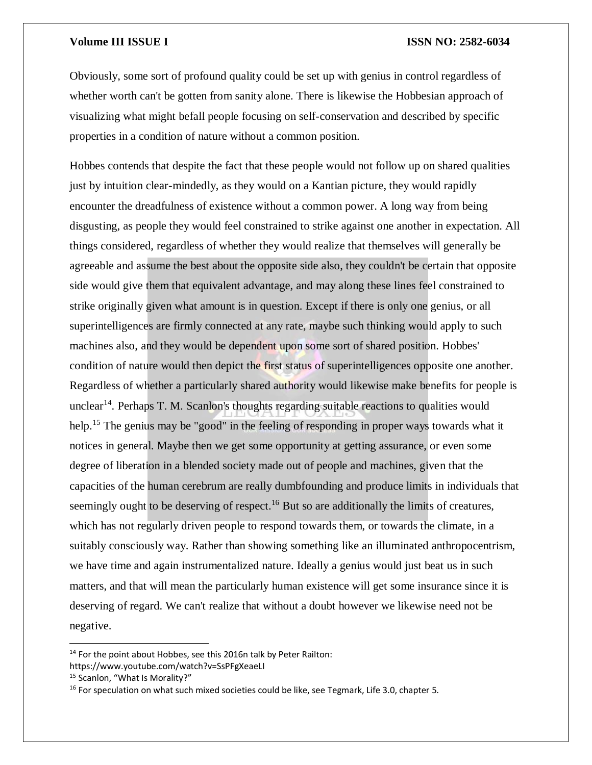Obviously, some sort of profound quality could be set up with genius in control regardless of whether worth can't be gotten from sanity alone. There is likewise the Hobbesian approach of visualizing what might befall people focusing on self-conservation and described by specific properties in a condition of nature without a common position.

Hobbes contends that despite the fact that these people would not follow up on shared qualities just by intuition clear-mindedly, as they would on a Kantian picture, they would rapidly encounter the dreadfulness of existence without a common power. A long way from being disgusting, as people they would feel constrained to strike against one another in expectation. All things considered, regardless of whether they would realize that themselves will generally be agreeable and assume the best about the opposite side also, they couldn't be certain that opposite side would give them that equivalent advantage, and may along these lines feel constrained to strike originally given what amount is in question. Except if there is only one genius, or all superintelligences are firmly connected at any rate, maybe such thinking would apply to such machines also, and they would be dependent upon some sort of shared position. Hobbes' condition of nature would then depict the first status of superintelligences opposite one another. Regardless of whether a particularly shared authority would likewise make benefits for people is unclear<sup>14</sup>. Perhaps T. M. Scanlon's thoughts regarding suitable reactions to qualities would help.<sup>15</sup> The genius may be "good" in the feeling of responding in proper ways towards what it notices in general. Maybe then we get some opportunity at getting assurance, or even some degree of liberation in a blended society made out of people and machines, given that the capacities of the human cerebrum are really dumbfounding and produce limits in individuals that seemingly ought to be deserving of respect.<sup>16</sup> But so are additionally the limits of creatures, which has not regularly driven people to respond towards them, or towards the climate, in a suitably consciously way. Rather than showing something like an illuminated anthropocentrism, we have time and again instrumentalized nature. Ideally a genius would just beat us in such matters, and that will mean the particularly human existence will get some insurance since it is deserving of regard. We can't realize that without a doubt however we likewise need not be negative.

<sup>&</sup>lt;sup>14</sup> For the point about Hobbes, see this 2016n talk by Peter Railton:

https://www.youtube.com/watch?v=SsPFgXeaeLI

<sup>15</sup> Scanlon, "What Is Morality?"

<sup>&</sup>lt;sup>16</sup> For speculation on what such mixed societies could be like, see Tegmark, Life 3.0, chapter 5.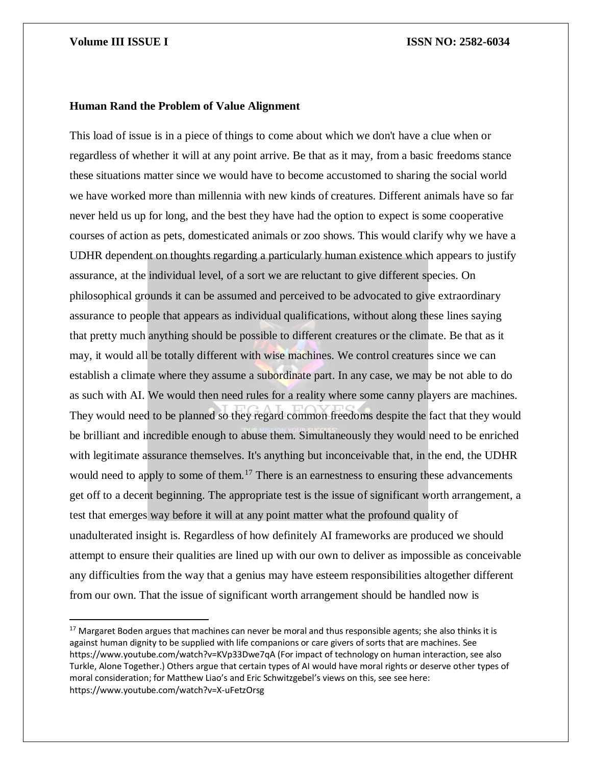$\overline{\phantom{a}}$ 

### **Human Rand the Problem of Value Alignment**

This load of issue is in a piece of things to come about which we don't have a clue when or regardless of whether it will at any point arrive. Be that as it may, from a basic freedoms stance these situations matter since we would have to become accustomed to sharing the social world we have worked more than millennia with new kinds of creatures. Different animals have so far never held us up for long, and the best they have had the option to expect is some cooperative courses of action as pets, domesticated animals or zoo shows. This would clarify why we have a UDHR dependent on thoughts regarding a particularly human existence which appears to justify assurance, at the individual level, of a sort we are reluctant to give different species. On philosophical grounds it can be assumed and perceived to be advocated to give extraordinary assurance to people that appears as individual qualifications, without along these lines saying that pretty much anything should be possible to different creatures or the climate. Be that as it may, it would all be totally different with wise machines. We control creatures since we can establish a climate where they assume a subordinate part. In any case, we may be not able to do as such with AI. We would then need rules for a reality where some canny players are machines. They would need to be planned so they regard common freedoms despite the fact that they would be brilliant and incredible enough to abuse them. Simultaneously they would need to be enriched with legitimate assurance themselves. It's anything but inconceivable that, in the end, the UDHR would need to apply to some of them.<sup>17</sup> There is an earnestness to ensuring these advancements get off to a decent beginning. The appropriate test is the issue of significant worth arrangement, a test that emerges way before it will at any point matter what the profound quality of unadulterated insight is. Regardless of how definitely AI frameworks are produced we should attempt to ensure their qualities are lined up with our own to deliver as impossible as conceivable any difficulties from the way that a genius may have esteem responsibilities altogether different from our own. That the issue of significant worth arrangement should be handled now is

<sup>&</sup>lt;sup>17</sup> Margaret Boden argues that machines can never be moral and thus responsible agents; she also thinks it is against human dignity to be supplied with life companions or care givers of sorts that are machines. See https://www.youtube.com/watch?v=KVp33Dwe7qA (For impact of technology on human interaction, see also Turkle, Alone Together.) Others argue that certain types of AI would have moral rights or deserve other types of moral consideration; for Matthew Liao's and Eric Schwitzgebel's views on this, see see here: https://www.youtube.com/watch?v=X-uFetzOrsg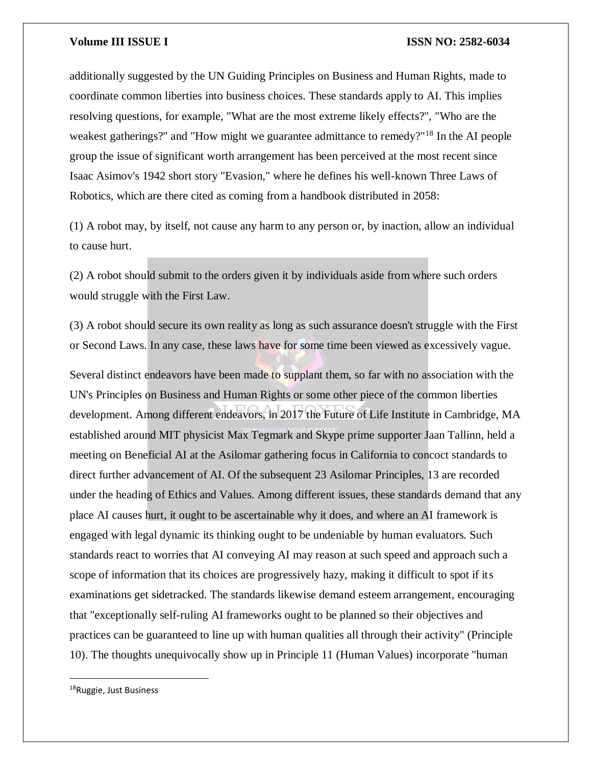additionally suggested by the UN Guiding Principles on Business and Human Rights, made to coordinate common liberties into business choices. These standards apply to AI. This implies resolving questions, for example, "What are the most extreme likely effects?", "Who are the weakest gatherings?" and "How might we guarantee admittance to remedy?"<sup>18</sup> In the AI people group the issue of significant worth arrangement has been perceived at the most recent since Isaac Asimov's 1942 short story "Evasion," where he defines his well-known Three Laws of Robotics, which are there cited as coming from a handbook distributed in 2058:

(1) A robot may, by itself, not cause any harm to any person or, by inaction, allow an individual to cause hurt.

(2) A robot should submit to the orders given it by individuals aside from where such orders would struggle with the First Law.

(3) A robot should secure its own reality as long as such assurance doesn't struggle with the First or Second Laws. In any case, these laws have for some time been viewed as excessively vague.

Several distinct endeavors have been made to supplant them, so far with no association with the UN's Principles on Business and Human Rights or some other piece of the common liberties development. Among different endeavors, in 2017 the Future of Life Institute in Cambridge, MA established around MIT physicist Max Tegmark and Skype prime supporter Jaan Tallinn, held a meeting on Beneficial AI at the Asilomar gathering focus in California to concoct standards to direct further advancement of AI. Of the subsequent 23 Asilomar Principles, 13 are recorded under the heading of Ethics and Values. Among different issues, these standards demand that any place AI causes hurt, it ought to be ascertainable why it does, and where an AI framework is engaged with legal dynamic its thinking ought to be undeniable by human evaluators. Such standards react to worries that AI conveying AI may reason at such speed and approach such a scope of information that its choices are progressively hazy, making it difficult to spot if its examinations get sidetracked. The standards likewise demand esteem arrangement, encouraging that "exceptionally self-ruling AI frameworks ought to be planned so their objectives and practices can be guaranteed to line up with human qualities all through their activity" (Principle 10). The thoughts unequivocally show up in Principle 11 (Human Values) incorporate "human

<sup>&</sup>lt;sup>18</sup>Ruggie, Just Business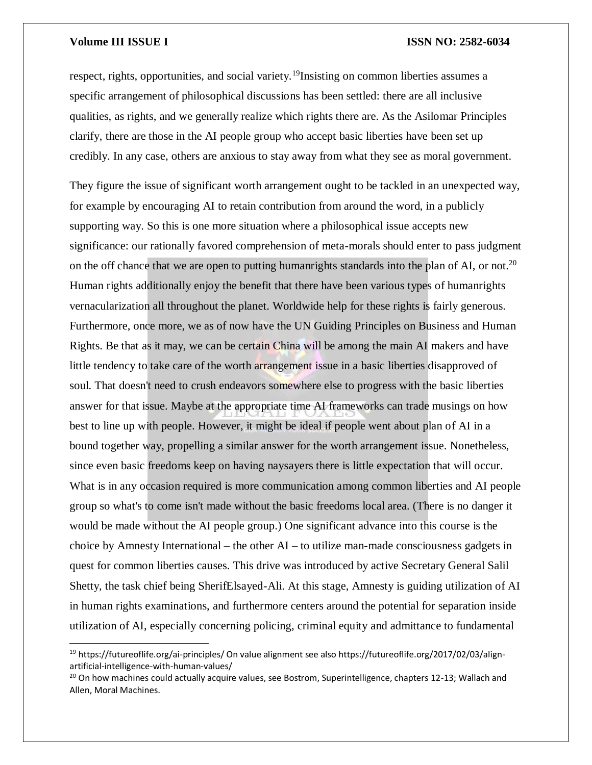$\overline{a}$ 

respect, rights, opportunities, and social variety.<sup>19</sup>Insisting on common liberties assumes a specific arrangement of philosophical discussions has been settled: there are all inclusive qualities, as rights, and we generally realize which rights there are. As the Asilomar Principles clarify, there are those in the AI people group who accept basic liberties have been set up credibly. In any case, others are anxious to stay away from what they see as moral government.

They figure the issue of significant worth arrangement ought to be tackled in an unexpected way, for example by encouraging AI to retain contribution from around the word, in a publicly supporting way. So this is one more situation where a philosophical issue accepts new significance: our rationally favored comprehension of meta-morals should enter to pass judgment on the off chance that we are open to putting humanrights standards into the plan of AI, or not.<sup>20</sup> Human rights additionally enjoy the benefit that there have been various types of humanrights vernacularization all throughout the planet. Worldwide help for these rights is fairly generous. Furthermore, once more, we as of now have the UN Guiding Principles on Business and Human Rights. Be that as it may, we can be certain China will be among the main AI makers and have little tendency to take care of the worth arrangement issue in a basic liberties disapproved of soul. That doesn't need to crush endeavors somewhere else to progress with the basic liberties answer for that issue. Maybe at the appropriate time AI frameworks can trade musings on how best to line up with people. However, it might be ideal if people went about plan of AI in a bound together way, propelling a similar answer for the worth arrangement issue. Nonetheless, since even basic freedoms keep on having naysayers there is little expectation that will occur. What is in any occasion required is more communication among common liberties and AI people group so what's to come isn't made without the basic freedoms local area. (There is no danger it would be made without the AI people group.) One significant advance into this course is the choice by Amnesty International – the other AI – to utilize man-made consciousness gadgets in quest for common liberties causes. This drive was introduced by active Secretary General Salil Shetty, the task chief being SherifElsayed-Ali. At this stage, Amnesty is guiding utilization of AI in human rights examinations, and furthermore centers around the potential for separation inside utilization of AI, especially concerning policing, criminal equity and admittance to fundamental

<sup>&</sup>lt;sup>19</sup> https://futureoflife.org/ai-principles/ On value alignment see also https://futureoflife.org/2017/02/03/alignartificial-intelligence-with-human-values/

<sup>&</sup>lt;sup>20</sup> On how machines could actually acquire values, see Bostrom, Superintelligence, chapters 12-13; Wallach and Allen, Moral Machines.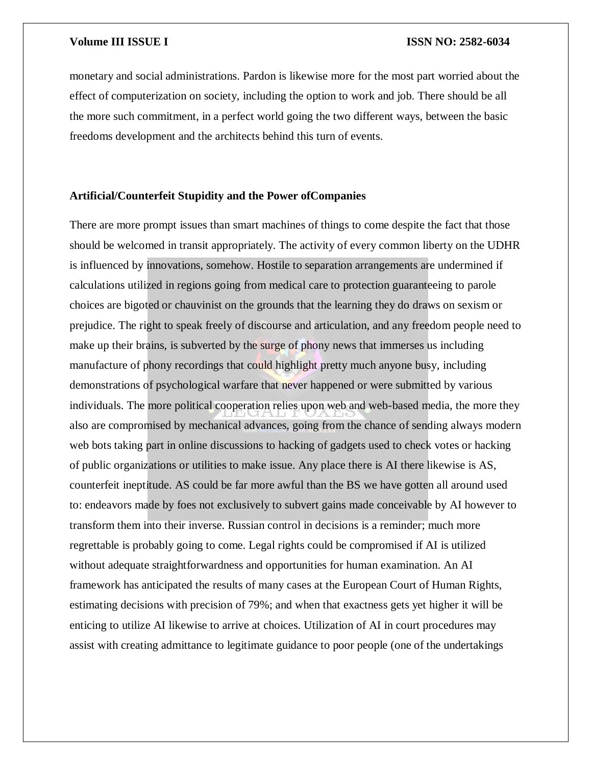monetary and social administrations. Pardon is likewise more for the most part worried about the effect of computerization on society, including the option to work and job. There should be all the more such commitment, in a perfect world going the two different ways, between the basic freedoms development and the architects behind this turn of events.

### **Artificial/Counterfeit Stupidity and the Power ofCompanies**

There are more prompt issues than smart machines of things to come despite the fact that those should be welcomed in transit appropriately. The activity of every common liberty on the UDHR is influenced by innovations, somehow. Hostile to separation arrangements are undermined if calculations utilized in regions going from medical care to protection guaranteeing to parole choices are bigoted or chauvinist on the grounds that the learning they do draws on sexism or prejudice. The right to speak freely of discourse and articulation, and any freedom people need to make up their brains, is subverted by the surge of phony news that immerses us including manufacture of phony recordings that could highlight pretty much anyone busy, including demonstrations of psychological warfare that never happened or were submitted by various individuals. The more political cooperation relies upon web and web-based media, the more they also are compromised by mechanical advances, going from the chance of sending always modern web bots taking part in online discussions to hacking of gadgets used to check votes or hacking of public organizations or utilities to make issue. Any place there is AI there likewise is AS, counterfeit ineptitude. AS could be far more awful than the BS we have gotten all around used to: endeavors made by foes not exclusively to subvert gains made conceivable by AI however to transform them into their inverse. Russian control in decisions is a reminder; much more regrettable is probably going to come. Legal rights could be compromised if AI is utilized without adequate straightforwardness and opportunities for human examination. An AI framework has anticipated the results of many cases at the European Court of Human Rights, estimating decisions with precision of 79%; and when that exactness gets yet higher it will be enticing to utilize AI likewise to arrive at choices. Utilization of AI in court procedures may assist with creating admittance to legitimate guidance to poor people (one of the undertakings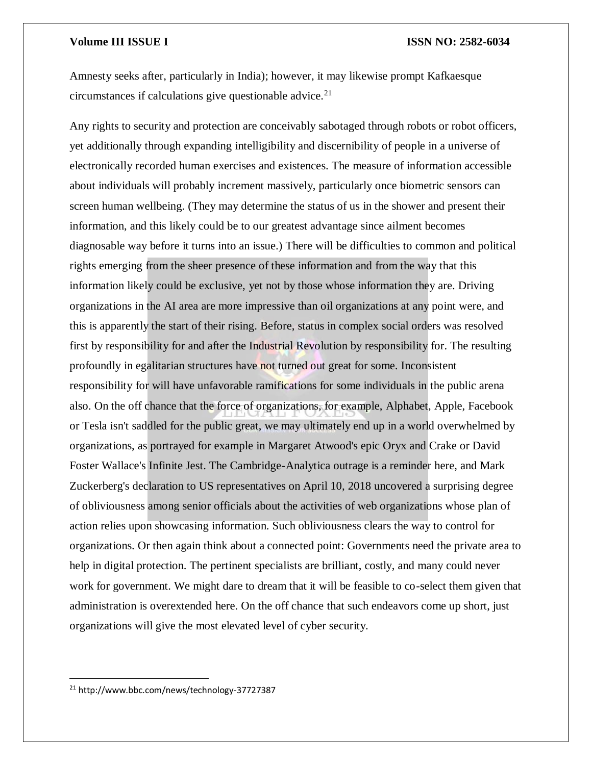Amnesty seeks after, particularly in India); however, it may likewise prompt Kafkaesque circumstances if calculations give questionable advice. $21$ 

Any rights to security and protection are conceivably sabotaged through robots or robot officers, yet additionally through expanding intelligibility and discernibility of people in a universe of electronically recorded human exercises and existences. The measure of information accessible about individuals will probably increment massively, particularly once biometric sensors can screen human wellbeing. (They may determine the status of us in the shower and present their information, and this likely could be to our greatest advantage since ailment becomes diagnosable way before it turns into an issue.) There will be difficulties to common and political rights emerging from the sheer presence of these information and from the way that this information likely could be exclusive, yet not by those whose information they are. Driving organizations in the AI area are more impressive than oil organizations at any point were, and this is apparently the start of their rising. Before, status in complex social orders was resolved first by responsibility for and after the Industrial Revolution by responsibility for. The resulting profoundly in egalitarian structures have not turned out great for some. Inconsistent responsibility for will have unfavorable ramifications for some individuals in the public arena also. On the off chance that the force of organizations, for example, Alphabet, Apple, Facebook or Tesla isn't saddled for the public great, we may ultimately end up in a world overwhelmed by organizations, as portrayed for example in Margaret Atwood's epic Oryx and Crake or David Foster Wallace's Infinite Jest. The Cambridge-Analytica outrage is a reminder here, and Mark Zuckerberg's declaration to US representatives on April 10, 2018 uncovered a surprising degree of obliviousness among senior officials about the activities of web organizations whose plan of action relies upon showcasing information. Such obliviousness clears the way to control for organizations. Or then again think about a connected point: Governments need the private area to help in digital protection. The pertinent specialists are brilliant, costly, and many could never work for government. We might dare to dream that it will be feasible to co-select them given that administration is overextended here. On the off chance that such endeavors come up short, just organizations will give the most elevated level of cyber security.

<sup>21</sup> http://www.bbc.com/news/technology-37727387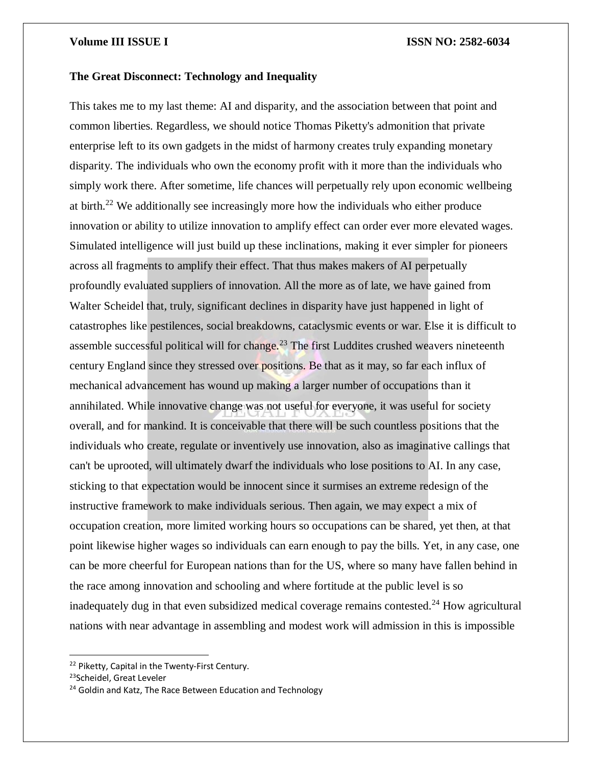### **The Great Disconnect: Technology and Inequality**

This takes me to my last theme: AI and disparity, and the association between that point and common liberties. Regardless, we should notice Thomas Piketty's admonition that private enterprise left to its own gadgets in the midst of harmony creates truly expanding monetary disparity. The individuals who own the economy profit with it more than the individuals who simply work there. After sometime, life chances will perpetually rely upon economic wellbeing at birth.<sup>22</sup> We additionally see increasingly more how the individuals who either produce innovation or ability to utilize innovation to amplify effect can order ever more elevated wages. Simulated intelligence will just build up these inclinations, making it ever simpler for pioneers across all fragments to amplify their effect. That thus makes makers of AI perpetually profoundly evaluated suppliers of innovation. All the more as of late, we have gained from Walter Scheidel that, truly, significant declines in disparity have just happened in light of catastrophes like pestilences, social breakdowns, cataclysmic events or war. Else it is difficult to assemble successful political will for change.<sup>23</sup> The first Luddites crushed weavers nineteenth century England since they stressed over positions. Be that as it may, so far each influx of mechanical advancement has wound up making a larger number of occupations than it annihilated. While innovative change was not useful for everyone, it was useful for society overall, and for mankind. It is conceivable that there will be such countless positions that the individuals who create, regulate or inventively use innovation, also as imaginative callings that can't be uprooted, will ultimately dwarf the individuals who lose positions to AI. In any case, sticking to that expectation would be innocent since it surmises an extreme redesign of the instructive framework to make individuals serious. Then again, we may expect a mix of occupation creation, more limited working hours so occupations can be shared, yet then, at that point likewise higher wages so individuals can earn enough to pay the bills. Yet, in any case, one can be more cheerful for European nations than for the US, where so many have fallen behind in the race among innovation and schooling and where fortitude at the public level is so inadequately dug in that even subsidized medical coverage remains contested.<sup>24</sup> How agricultural nations with near advantage in assembling and modest work will admission in this is impossible

<sup>22</sup> Piketty, Capital in the Twenty-First Century.

<sup>&</sup>lt;sup>23</sup>Scheidel, Great Leveler

<sup>&</sup>lt;sup>24</sup> Goldin and Katz, The Race Between Education and Technology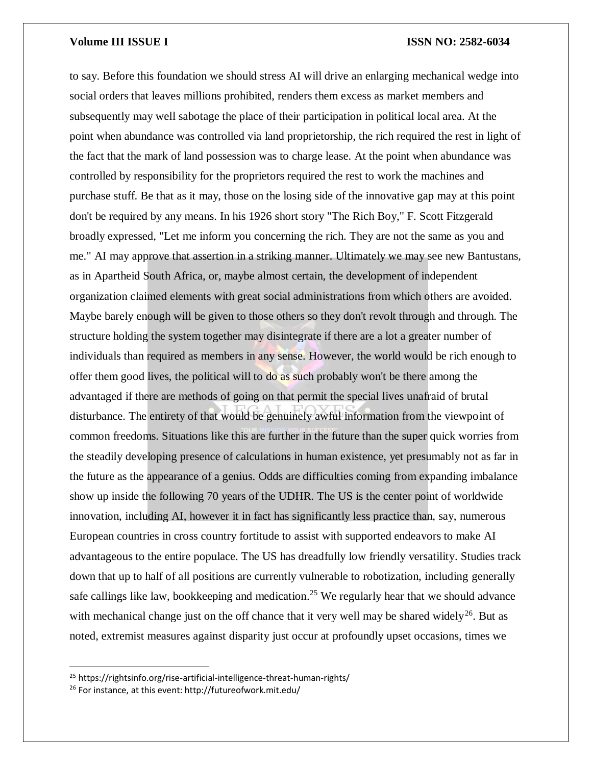to say. Before this foundation we should stress AI will drive an enlarging mechanical wedge into social orders that leaves millions prohibited, renders them excess as market members and subsequently may well sabotage the place of their participation in political local area. At the point when abundance was controlled via land proprietorship, the rich required the rest in light of the fact that the mark of land possession was to charge lease. At the point when abundance was controlled by responsibility for the proprietors required the rest to work the machines and purchase stuff. Be that as it may, those on the losing side of the innovative gap may at this point don't be required by any means. In his 1926 short story "The Rich Boy," F. Scott Fitzgerald broadly expressed, "Let me inform you concerning the rich. They are not the same as you and me." AI may approve that assertion in a striking manner. Ultimately we may see new Bantustans, as in Apartheid South Africa, or, maybe almost certain, the development of independent organization claimed elements with great social administrations from which others are avoided. Maybe barely enough will be given to those others so they don't revolt through and through. The structure holding the system together may disintegrate if there are a lot a greater number of individuals than required as members in any sense. However, the world would be rich enough to offer them good lives, the political will to do as such probably won't be there among the advantaged if there are methods of going on that permit the special lives unafraid of brutal disturbance. The entirety of that would be genuinely awful information from the viewpoint of common freedoms. Situations like this are further in the future than the super quick worries from the steadily developing presence of calculations in human existence, yet presumably not as far in the future as the appearance of a genius. Odds are difficulties coming from expanding imbalance show up inside the following 70 years of the UDHR. The US is the center point of worldwide innovation, including AI, however it in fact has significantly less practice than, say, numerous European countries in cross country fortitude to assist with supported endeavors to make AI advantageous to the entire populace. The US has dreadfully low friendly versatility. Studies track down that up to half of all positions are currently vulnerable to robotization, including generally safe callings like law, bookkeeping and medication.<sup>25</sup> We regularly hear that we should advance with mechanical change just on the off chance that it very well may be shared widely<sup>26</sup>. But as noted, extremist measures against disparity just occur at profoundly upset occasions, times we

 $\overline{\phantom{a}}$ 

<sup>25</sup> https://rightsinfo.org/rise-artificial-intelligence-threat-human-rights/

<sup>26</sup> For instance, at this event: http://futureofwork.mit.edu/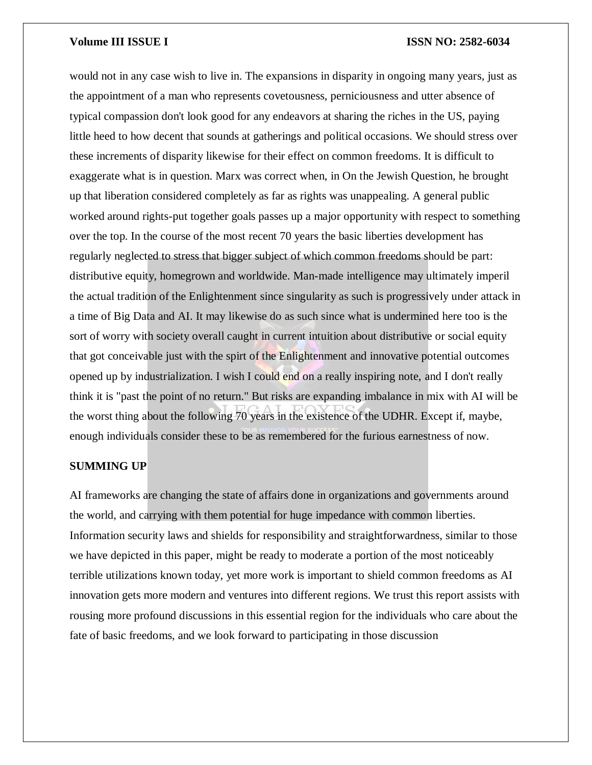would not in any case wish to live in. The expansions in disparity in ongoing many years, just as the appointment of a man who represents covetousness, perniciousness and utter absence of typical compassion don't look good for any endeavors at sharing the riches in the US, paying little heed to how decent that sounds at gatherings and political occasions. We should stress over these increments of disparity likewise for their effect on common freedoms. It is difficult to exaggerate what is in question. Marx was correct when, in On the Jewish Question, he brought up that liberation considered completely as far as rights was unappealing. A general public worked around rights-put together goals passes up a major opportunity with respect to something over the top. In the course of the most recent 70 years the basic liberties development has regularly neglected to stress that bigger subject of which common freedoms should be part: distributive equity, homegrown and worldwide. Man-made intelligence may ultimately imperil the actual tradition of the Enlightenment since singularity as such is progressively under attack in a time of Big Data and AI. It may likewise do as such since what is undermined here too is the sort of worry with society overall caught in current intuition about distributive or social equity that got conceivable just with the spirt of the Enlightenment and innovative potential outcomes opened up by industrialization. I wish I could end on a really inspiring note, and I don't really think it is "past the point of no return." But risks are expanding imbalance in mix with AI will be the worst thing about the following 70 years in the existence of the UDHR. Except if, maybe, enough individuals consider these to be as remembered for the furious earnestness of now.

### **SUMMING UP**

AI frameworks are changing the state of affairs done in organizations and governments around the world, and carrying with them potential for huge impedance with common liberties. Information security laws and shields for responsibility and straightforwardness, similar to those we have depicted in this paper, might be ready to moderate a portion of the most noticeably terrible utilizations known today, yet more work is important to shield common freedoms as AI innovation gets more modern and ventures into different regions. We trust this report assists with rousing more profound discussions in this essential region for the individuals who care about the fate of basic freedoms, and we look forward to participating in those discussion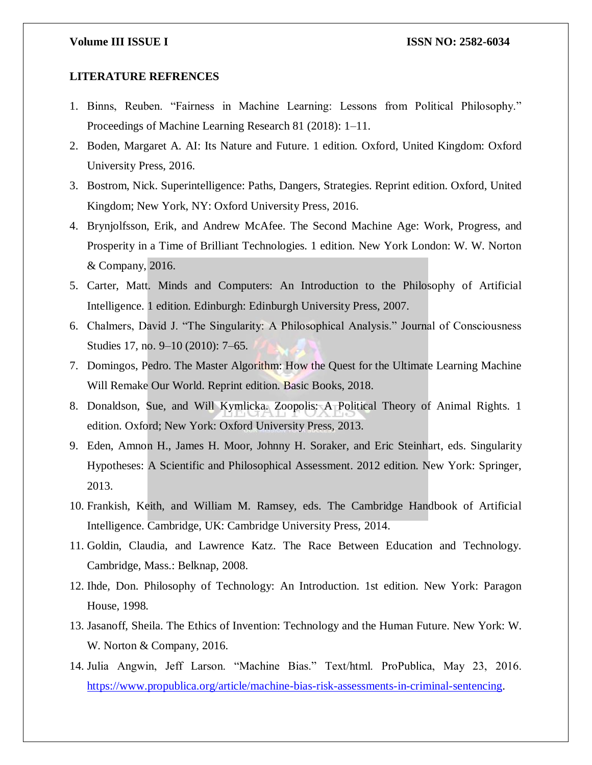### **LITERATURE REFRENCES**

- 1. Binns, Reuben. "Fairness in Machine Learning: Lessons from Political Philosophy." Proceedings of Machine Learning Research 81 (2018): 1–11.
- 2. Boden, Margaret A. AI: Its Nature and Future. 1 edition. Oxford, United Kingdom: Oxford University Press, 2016.
- 3. Bostrom, Nick. Superintelligence: Paths, Dangers, Strategies. Reprint edition. Oxford, United Kingdom; New York, NY: Oxford University Press, 2016.
- 4. Brynjolfsson, Erik, and Andrew McAfee. The Second Machine Age: Work, Progress, and Prosperity in a Time of Brilliant Technologies. 1 edition. New York London: W. W. Norton & Company, 2016.
- 5. Carter, Matt. Minds and Computers: An Introduction to the Philosophy of Artificial Intelligence. 1 edition. Edinburgh: Edinburgh University Press, 2007.
- 6. Chalmers, David J. "The Singularity: A Philosophical Analysis." Journal of Consciousness Studies 17, no. 9–10 (2010): 7–65.
- 7. Domingos, Pedro. The Master Algorithm: How the Quest for the Ultimate Learning Machine Will Remake Our World. Reprint edition. Basic Books, 2018.
- 8. Donaldson, Sue, and Will Kymlicka. Zoopolis: A Political Theory of Animal Rights. 1 edition. Oxford; New York: Oxford University Press, 2013.
- 9. Eden, Amnon H., James H. Moor, Johnny H. Soraker, and Eric Steinhart, eds. Singularity Hypotheses: A Scientific and Philosophical Assessment. 2012 edition. New York: Springer, 2013.
- 10. Frankish, Keith, and William M. Ramsey, eds. The Cambridge Handbook of Artificial Intelligence. Cambridge, UK: Cambridge University Press, 2014.
- 11. Goldin, Claudia, and Lawrence Katz. The Race Between Education and Technology. Cambridge, Mass.: Belknap, 2008.
- 12. Ihde, Don. Philosophy of Technology: An Introduction. 1st edition. New York: Paragon House, 1998.
- 13. Jasanoff, Sheila. The Ethics of Invention: Technology and the Human Future. New York: W. W. Norton & Company, 2016.
- 14. Julia Angwin, Jeff Larson. "Machine Bias." Text/html. ProPublica, May 23, 2016. [https://www.propublica.org/article/machine-bias-risk-assessments-in-criminal-sentencing.](https://www.propublica.org/article/machine-bias-risk-assessments-in-criminal-sentencing)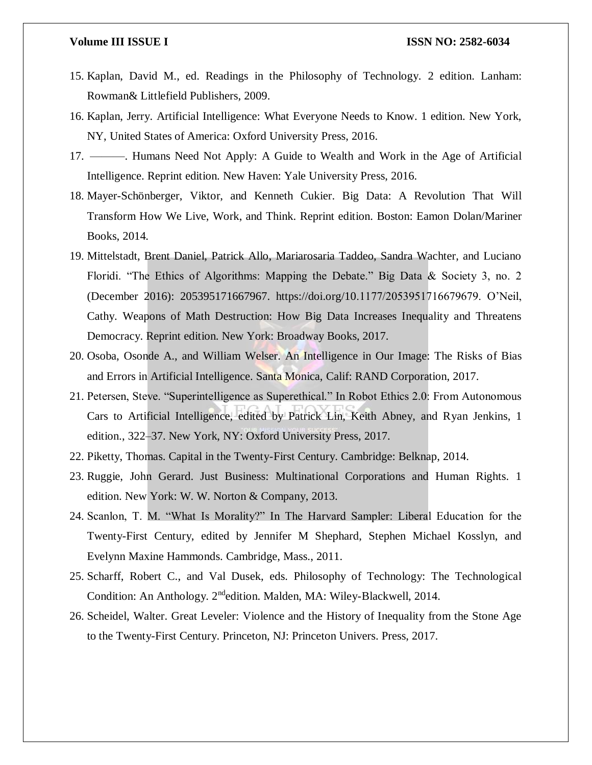- 15. Kaplan, David M., ed. Readings in the Philosophy of Technology. 2 edition. Lanham: Rowman& Littlefield Publishers, 2009.
- 16. Kaplan, Jerry. Artificial Intelligence: What Everyone Needs to Know. 1 edition. New York, NY, United States of America: Oxford University Press, 2016.
- 17. ———. Humans Need Not Apply: A Guide to Wealth and Work in the Age of Artificial Intelligence. Reprint edition. New Haven: Yale University Press, 2016.
- 18. Mayer-Schönberger, Viktor, and Kenneth Cukier. Big Data: A Revolution That Will Transform How We Live, Work, and Think. Reprint edition. Boston: Eamon Dolan/Mariner Books, 2014.
- 19. Mittelstadt, Brent Daniel, Patrick Allo, Mariarosaria Taddeo, Sandra Wachter, and Luciano Floridi. "The Ethics of Algorithms: Mapping the Debate." Big Data & Society 3, no. 2 (December 2016): 205395171667967. https://doi.org/10.1177/2053951716679679. O'Neil, Cathy. Weapons of Math Destruction: How Big Data Increases Inequality and Threatens Democracy. Reprint edition. New York: Broadway Books, 2017.
- 20. Osoba, Osonde A., and William Welser. An Intelligence in Our Image: The Risks of Bias and Errors in Artificial Intelligence. Santa Monica, Calif: RAND Corporation, 2017.
- 21. Petersen, Steve. "Superintelligence as Superethical." In Robot Ethics 2.0: From Autonomous Cars to Artificial Intelligence, edited by Patrick Lin, Keith Abney, and Ryan Jenkins, 1 edition., 322–37. New York, NY: Oxford University Press, 2017.
- 22. Piketty, Thomas. Capital in the Twenty-First Century. Cambridge: Belknap, 2014.
- 23. Ruggie, John Gerard. Just Business: Multinational Corporations and Human Rights. 1 edition. New York: W. W. Norton & Company, 2013.
- 24. Scanlon, T. M. "What Is Morality?" In The Harvard Sampler: Liberal Education for the Twenty-First Century, edited by Jennifer M Shephard, Stephen Michael Kosslyn, and Evelynn Maxine Hammonds. Cambridge, Mass., 2011.
- 25. Scharff, Robert C., and Val Dusek, eds. Philosophy of Technology: The Technological Condition: An Anthology. 2<sup>nd</sup>edition. Malden, MA: Wiley-Blackwell, 2014.
- 26. Scheidel, Walter. Great Leveler: Violence and the History of Inequality from the Stone Age to the Twenty-First Century. Princeton, NJ: Princeton Univers. Press, 2017.